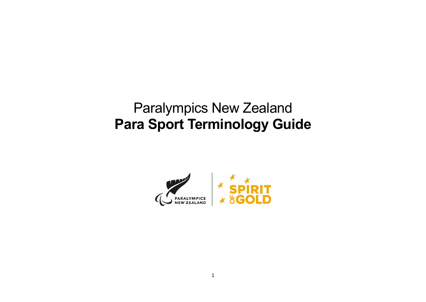# Paralympics New Zealand **Para Sport Terminology Guide**

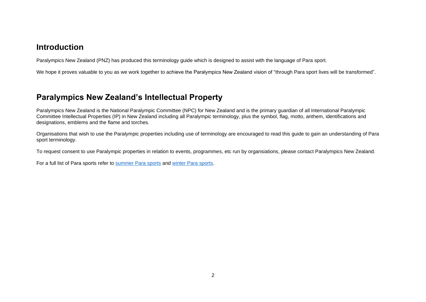## **Introduction**

Paralympics New Zealand (PNZ) has produced this terminology guide which is designed to assist with the language of Para sport.

We hope it proves valuable to you as we work together to achieve the Paralympics New Zealand vision of "through Para sport lives will be transformed".

## **Paralympics New Zealand's Intellectual Property**

Paralympics New Zealand is the National Paralympic Committee (NPC) for New Zealand and is the primary guardian of all International Paralympic Committee Intellectual Properties (IP) in New Zealand including all Paralympic terminology, plus the symbol, flag, motto, anthem, identifications and designations, emblems and the flame and torches.

Organisations that wish to use the Paralympic properties including use of terminology are encouraged to read this guide to gain an understanding of Para sport terminology.

To request consent to use Paralympic properties in relation to events, programmes, etc run by organsiations, please contact Paralympics New Zealand.

For a full list of Para sports refer to [summer Para sports](https://paralympics.org.nz/summer/summer-para-sports/) and [winter Para sports.](https://paralympics.org.nz/winter/winter-para-sports/)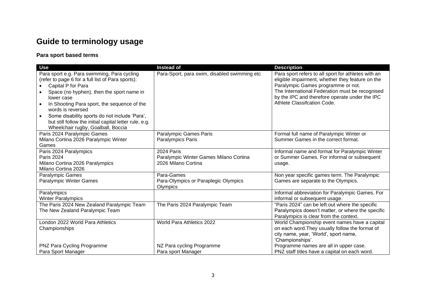# **Guide to terminology usage**

## **Para sport based terms**

| <b>Use</b>                                                       | Instead of                                                    | <b>Description</b>                                                            |
|------------------------------------------------------------------|---------------------------------------------------------------|-------------------------------------------------------------------------------|
| Para sport e.g. Para swimming, Para cycling                      | Para-Sport, para swim, disabled swimming etc                  | Para sport refers to all sport for athletes with an                           |
| (refer to page 6 for a full list of Para sports):                |                                                               | eligible impairment, whether they feature on the                              |
| Capital P for Para                                               |                                                               | Paralympic Games programme or not.                                            |
| Space (no hyphen), then the sport name in                        |                                                               | The International Federation must be recognised                               |
| lower case                                                       |                                                               | by the IPC and therefore operate under the IPC<br>Athlete Classifcation Code. |
| In Shooting Para sport, the sequence of the<br>words is reversed |                                                               |                                                                               |
| Some disability sports do not include 'Para',<br>$\bullet$       |                                                               |                                                                               |
| but still follow the initial capital letter rule, e.g.           |                                                               |                                                                               |
| Wheelchair rugby, Goalball, Boccia                               |                                                               |                                                                               |
| Paris 2024 Paralympic Games                                      | <b>Paralympic Games Paris</b>                                 | Formal full name of Paralympic Winter or                                      |
| Milano Cortina 2026 Paralympic Winter                            | Paralympics Paris                                             | Summer Games in the correct format.                                           |
| Games                                                            |                                                               |                                                                               |
| Paris 2024 Paralympics                                           | 2024 Paris                                                    | Informal name and format for Paralympic Winter                                |
| <b>Paris 2024</b>                                                | Paralympic Winter Games Milano Cortina<br>2026 Milano Cortina | or Summer Games. For informal or subsequent                                   |
| Milano Cortina 2026 Paralympics<br>Milano Cortina 2026           |                                                               | usage.                                                                        |
| <b>Paralympic Games</b>                                          | Para-Games                                                    | Non year specific games term. The Paralympic                                  |
| <b>Paralympic Winter Games</b>                                   | Para-Olympics or Paraplegic Olympics                          | Games are separate to the Olympics.                                           |
|                                                                  | Olympics                                                      |                                                                               |
| Paralympics                                                      |                                                               | Informal abbreviation for Paralympic Games. For                               |
| <b>Winter Paralympics</b>                                        |                                                               | informal or subsequent usage.                                                 |
| The Paris 2024 New Zealand Paralympic Team                       | The Paris 2024 Paralympic Team                                | "Paris 2024" can be left out where the specific                               |
| The New Zealand Paralympic Team                                  |                                                               | Paralympics doesn't matter, or where the specific                             |
|                                                                  |                                                               | Paralympics is clear from the context.                                        |
| London 2022 World Para Athletics                                 | World Para Athletics 2022                                     | World Championship event names have a capital                                 |
| Championships                                                    |                                                               | on each word. They usually follow the format of                               |
|                                                                  |                                                               | city name, year, 'World', sport name,                                         |
|                                                                  |                                                               | 'Championships'.                                                              |
| PNZ Para Cycling Programme                                       | NZ Para cycling Programme                                     | Programme names are all in upper case.                                        |
| Para Sport Manager                                               | Para sport Manager                                            | PNZ staff titles have a capital on each word.                                 |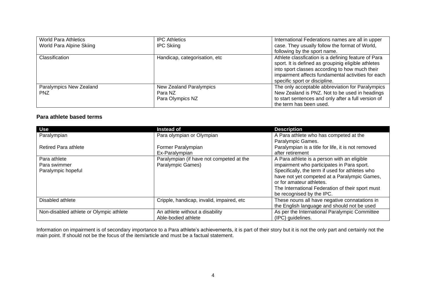| <b>World Para Athletics</b> | <b>IPC Athletics</b>          | International Federations names are all in upper    |
|-----------------------------|-------------------------------|-----------------------------------------------------|
| World Para Alpine Skiing    | <b>IPC Skiing</b>             | case. They usually follow the format of World,      |
|                             |                               | following by the sport name.                        |
| Classification              | Handicap, categorisation, etc | Athlete classfication is a defining feature of Para |
|                             |                               | sport. It is defined as groupinig eligible athletes |
|                             |                               | into sport classes according to how much their      |
|                             |                               | impairment affects fundamental activities for each  |
|                             |                               | specific sport or discipline.                       |
| Paralympics New Zealand     | New Zealand Paralympics       | The only acceptable abbreviation for Paralympics    |
| <b>PNZ</b>                  | Para NZ                       | New Zealand is PNZ. Not to be used in headings      |
|                             | Para Olympics NZ              | to start sentences and only after a full version of |
|                             |                               | the term has been used.                             |

### **Para athlete based terms**

| <b>Use</b>                              | <b>Instead of</b>                          | <b>Description</b>                                 |
|-----------------------------------------|--------------------------------------------|----------------------------------------------------|
| Paralympian                             | Para olympian or Olympian                  | A Para athlete who has competed at the             |
|                                         |                                            | Paralympic Games.                                  |
| <b>Retired Para athlete</b>             | Former Paralympian                         | Paralympian is a title for life, it is not removed |
|                                         | Ex-Paralympian                             | after retirement                                   |
| Para athlete                            | Paralympian (if have not competed at the   | A Para athlete is a person with an eligible        |
| Para swimmer                            | Paralympic Games)                          | impairment who participates in Para sport.         |
| Paralympic hopeful                      |                                            | Specifically, the term if used for athletes who    |
|                                         |                                            | have not yet competed at a Paralympic Games,       |
|                                         |                                            | or for amateur athletes.                           |
|                                         |                                            | The International Federation of their sport must   |
|                                         |                                            | be recognised by the IPC.                          |
| Disabled athlete                        | Cripple, handicap, invalid, impaired, etc. | These nouns all have negative connatations in      |
|                                         |                                            | the English language and should not be used        |
| Non-disabled athlete or Olympic athlete | An athlete without a disability            | As per the International Paralympic Committee      |
|                                         | Able-bodied athlete                        | (IPC) quidelines.                                  |

Information on impairment is of secondary importance to a Para athlete's achievements, it is part of their story but it is not the only part and certainly not the main point. If should not be the focus of the item/article and must be a factual statement.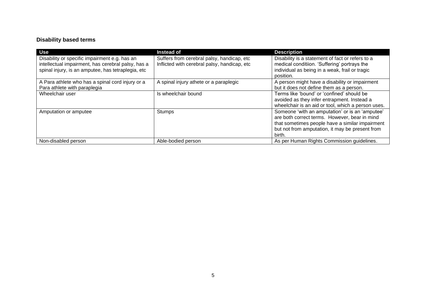## **Disability based terms**

| <b>Use</b>                                         | <b>Instead of</b>                            | <b>Description</b>                                 |
|----------------------------------------------------|----------------------------------------------|----------------------------------------------------|
| Disability or specific impairment e.g. has an      | Suffers from cerebral palsy, handicap, etc.  | Disability is a statement of fact or refers to a   |
| intellectual impairment, has cerebral palsy, has a | Inflicted with cerebral palsy, handicap, etc | medical conditiion. 'Suffering' portrays the       |
| spinal injury, is an amputee, has tetraplegia, etc |                                              | individual as being in a weak, frail or tragic     |
|                                                    |                                              | position.                                          |
| A Para athlete who has a spinal cord injury or a   | A spinal injury athete or a paraplegic       | A person might have a disability or impairment     |
| Para athlete with paraplegia                       |                                              | but it does not define them as a person.           |
| Wheelchair user                                    | Is wheelchair bound                          | Terms like 'bound' or 'confined' should be         |
|                                                    |                                              | avoided as they infer entrapment. Instead a        |
|                                                    |                                              | wheelchair is an aid or tool, which a person uses. |
| Amputation or amputee                              | Stumps                                       | Someone 'with an amputation' or is an 'amputee'    |
|                                                    |                                              | are both correct terms. However, bear in mind      |
|                                                    |                                              | that sometimes people have a similar impairment    |
|                                                    |                                              | but not from amputation, it may be present from    |
|                                                    |                                              | birth.                                             |
| Non-disabled person                                | Able-bodied person                           | As per Human Rights Commission guidelines.         |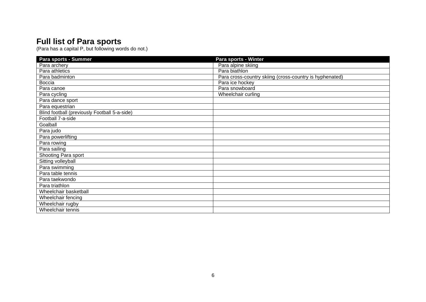## **Full list of Para sports**

(Para has a capital P, but following words do not.)

| Para sports - Summer                          | Para sports - Winter                                    |
|-----------------------------------------------|---------------------------------------------------------|
| Para archery                                  | Para alpine skiing                                      |
| Para athletics                                | Para biathlon                                           |
| Para badminton                                | Para cross-country skiing (cross-country is hyphenated) |
| <b>Boccia</b>                                 | Para ice hockey                                         |
| Para canoe                                    | Para snowboard                                          |
| Para cycling                                  | Wheelchair curling                                      |
| Para dance sport                              |                                                         |
| Para equestrian                               |                                                         |
| Blind football (previously Football 5-a-side) |                                                         |
| Football 7-a-side                             |                                                         |
| Goalball                                      |                                                         |
| Para judo                                     |                                                         |
| Para powerlifting                             |                                                         |
| Para rowing                                   |                                                         |
| Para sailing                                  |                                                         |
| Shooting Para sport                           |                                                         |
| Sitting volleyball                            |                                                         |
| Para swimming                                 |                                                         |
| Para table tennis                             |                                                         |
| Para taekwondo                                |                                                         |
| Para triathlon                                |                                                         |
| Wheelchair basketball                         |                                                         |
| Wheelchair fencing                            |                                                         |
| Wheelchair rugby                              |                                                         |
| Wheelchair tennis                             |                                                         |